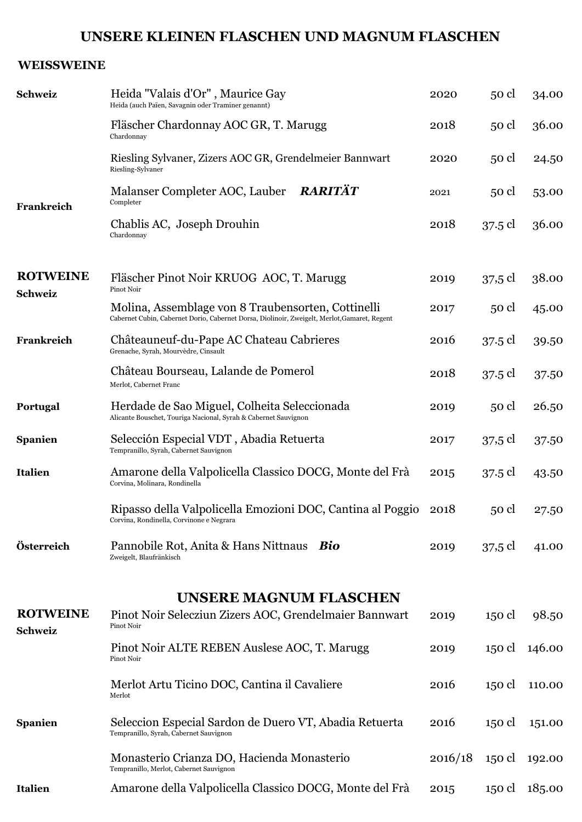## **UNSERE KLEINEN FLASCHEN UND MAGNUM FLASCHEN**

## **WEISSWEINE**

| <b>Schweiz</b>                    | Heida "Valais d'Or", Maurice Gay<br>Heida (auch Païen, Savagnin oder Traminer genannt)                                                             | 2020    | 50 cl             | 34.00  |
|-----------------------------------|----------------------------------------------------------------------------------------------------------------------------------------------------|---------|-------------------|--------|
|                                   | Fläscher Chardonnay AOC GR, T. Marugg<br>Chardonnay                                                                                                | 2018    | $50$ cl           | 36.00  |
|                                   | Riesling Sylvaner, Zizers AOC GR, Grendelmeier Bannwart<br>Riesling-Sylvaner                                                                       | 2020    | $50$ cl           | 24.50  |
| Frankreich                        | Malanser Completer AOC, Lauber RARITÄT<br>Completer                                                                                                | 2021    | 50 cl             | 53.00  |
|                                   | Chablis AC, Joseph Drouhin<br>Chardonnay                                                                                                           | 2018    | 37.5 cl           | 36.00  |
| <b>ROTWEINE</b>                   | Fläscher Pinot Noir KRUOG AOC, T. Marugg<br>Pinot Noir                                                                                             | 2019    | 37,5 cl           | 38.00  |
| <b>Schweiz</b>                    | Molina, Assemblage von 8 Traubensorten, Cottinelli<br>Cabernet Cubin, Cabernet Dorio, Cabernet Dorsa, Diolinoir, Zweigelt, Merlot, Gamaret, Regent | 2017    | $50$ cl           | 45.00  |
| Frankreich                        | Châteauneuf-du-Pape AC Chateau Cabrieres<br>Grenache, Syrah, Mourvèdre, Cinsault                                                                   | 2016    | 37.5 cl           | 39.50  |
|                                   | Château Bourseau, Lalande de Pomerol<br>Merlot, Cabernet Franc                                                                                     | 2018    | 37.5 cl           | 37.50  |
| Portugal                          | Herdade de Sao Miguel, Colheita Seleccionada<br>Alicante Bouschet, Touriga Nacional, Syrah & Cabernet Sauvignon                                    | 2019    | 50 cl             | 26.50  |
| <b>Spanien</b>                    | Selección Especial VDT, Abadia Retuerta<br>Tempranillo, Syrah, Cabernet Sauvignon                                                                  | 2017    | $37.5 \text{ cl}$ | 37.50  |
| <b>Italien</b>                    | Amarone della Valpolicella Classico DOCG, Monte del Frà<br>Corvina, Molinara, Rondinella                                                           | 2015    | 37.5 cl           | 43.50  |
|                                   | Ripasso della Valpolicella Emozioni DOC, Cantina al Poggio<br>Corvina, Rondinella, Corvinone e Negrara                                             | 2018    | 50 cl             | 27.50  |
| Österreich                        | Pannobile Rot, Anita & Hans Nittnaus Bio<br>Zweigelt, Blaufränkisch                                                                                | 2019    | 37,5 cl           | 41.00  |
|                                   | <b>UNSERE MAGNUM FLASCHEN</b>                                                                                                                      |         |                   |        |
| <b>ROTWEINE</b><br><b>Schweiz</b> | Pinot Noir Selecziun Zizers AOC, Grendelmaier Bannwart<br>Pinot Noir                                                                               | 2019    | 150 cl            | 98.50  |
|                                   | Pinot Noir ALTE REBEN Auslese AOC, T. Marugg<br>Pinot Noir                                                                                         | 2019    | 150 cl            | 146.00 |
|                                   | Merlot Artu Ticino DOC, Cantina il Cavaliere<br>Merlot                                                                                             | 2016    | 150 cl            | 110.00 |
| <b>Spanien</b>                    | Seleccion Especial Sardon de Duero VT, Abadia Retuerta<br>Tempranillo, Syrah, Cabernet Sauvignon                                                   | 2016    | 150 cl            | 151.00 |
|                                   | Monasterio Crianza DO, Hacienda Monasterio<br>Tempranillo, Merlot, Cabernet Sauvignon                                                              | 2016/18 | 150 cl            | 192.00 |
| Italien                           | Amarone della Valpolicella Classico DOCG, Monte del Frà                                                                                            | 2015    | 150 cl            | 185.00 |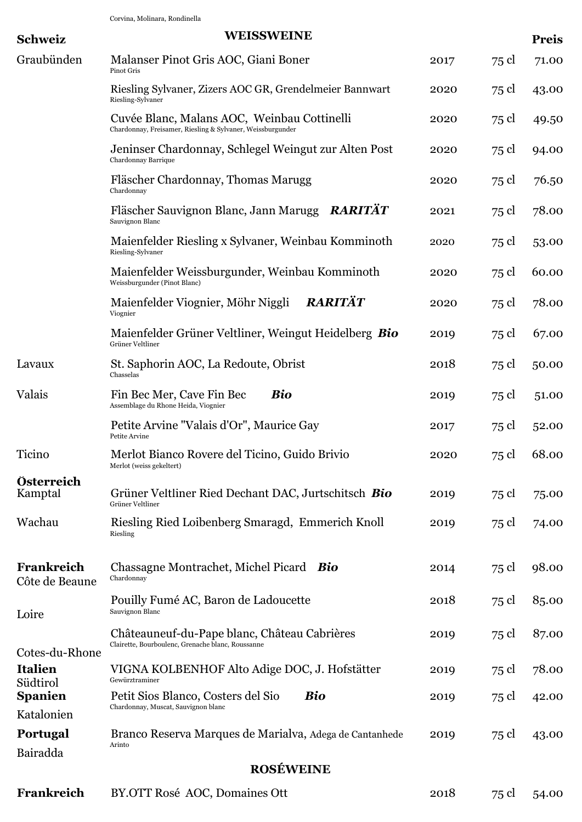Corvina, Molinara, Rondinella

| <b>Schweiz</b>                               | <b>WEISSWEINE</b>                                                                                         |      |       | <b>Preis</b> |
|----------------------------------------------|-----------------------------------------------------------------------------------------------------------|------|-------|--------------|
| Graubünden                                   | Malanser Pinot Gris AOC, Giani Boner<br>Pinot Gris                                                        | 2017 | 75 cl | 71.00        |
|                                              | Riesling Sylvaner, Zizers AOC GR, Grendelmeier Bannwart<br>Riesling-Sylvaner                              | 2020 | 75 cl | 43.00        |
|                                              | Cuvée Blanc, Malans AOC, Weinbau Cottinelli<br>Chardonnay, Freisamer, Riesling & Sylvaner, Weissburgunder | 2020 | 75 cl | 49.50        |
|                                              | Jeninser Chardonnay, Schlegel Weingut zur Alten Post<br>Chardonnay Barrique                               | 2020 | 75 cl | 94.00        |
|                                              | Fläscher Chardonnay, Thomas Marugg<br>Chardonnay                                                          | 2020 | 75 cl | 76.50        |
|                                              | <b>RARITÄT</b><br>Fläscher Sauvignon Blanc, Jann Marugg<br>Sauvignon Blanc                                | 2021 | 75 cl | 78.00        |
|                                              | Maienfelder Riesling x Sylvaner, Weinbau Komminoth<br>Riesling-Sylvaner                                   | 2020 | 75 cl | 53.00        |
|                                              | Maienfelder Weissburgunder, Weinbau Komminoth<br>Weissburgunder (Pinot Blanc)                             | 2020 | 75 cl | 60.00        |
|                                              | RARITÄT<br>Maienfelder Viognier, Möhr Niggli<br>Viognier                                                  | 2020 | 75 cl | 78.00        |
|                                              | Maienfelder Grüner Veltliner, Weingut Heidelberg Bio<br>Grüner Veltliner                                  | 2019 | 75 cl | 67.00        |
| Lavaux                                       | St. Saphorin AOC, La Redoute, Obrist<br>Chasselas                                                         | 2018 | 75 cl | 50.00        |
| Valais                                       | Bio<br>Fin Bec Mer, Cave Fin Bec<br>Assemblage du Rhone Heida, Viognier                                   | 2019 | 75 cl | 51.00        |
|                                              | Petite Arvine "Valais d'Or", Maurice Gay<br>Petite Arvine                                                 | 2017 | 75 cl | 52.00        |
| Ticino                                       | Merlot Bianco Rovere del Ticino, Guido Brivio<br>Merlot (weiss gekeltert)                                 | 2020 | 75 cl | 68.00        |
| Österreich<br>Kamptal                        | Grüner Veltliner Ried Dechant DAC, Jurtschitsch Bio<br>Grüner Veltliner                                   | 2019 | 75 cl | 75.00        |
| Wachau                                       | Riesling Ried Loibenberg Smaragd, Emmerich Knoll<br>Riesling                                              | 2019 | 75 cl | 74.00        |
| Frankreich<br>Côte de Beaune                 | Chassagne Montrachet, Michel Picard Bio<br>Chardonnay                                                     | 2014 | 75 cl | 98.00        |
| Loire                                        | Pouilly Fumé AC, Baron de Ladoucette<br>Sauvignon Blanc                                                   | 2018 | 75 cl | 85.00        |
|                                              | Châteauneuf-du-Pape blanc, Château Cabrières<br>Clairette, Bourboulenc, Grenache blanc, Roussanne         | 2019 | 75 cl | 87.00        |
| Cotes-du-Rhone<br><b>Italien</b><br>Südtirol | VIGNA KOLBENHOF Alto Adige DOC, J. Hofstätter<br>Gewürztraminer                                           | 2019 | 75 cl | 78.00        |
| <b>Spanien</b>                               | <b>Bio</b><br>Petit Sios Blanco, Costers del Sio                                                          | 2019 | 75 cl | 42.00        |
| Katalonien                                   | Chardonnay, Muscat, Sauvignon blanc                                                                       |      |       |              |
| <b>Portugal</b>                              | Branco Reserva Marques de Marialva, Adega de Cantanhede                                                   | 2019 | 75 cl | 43.00        |
| Bairadda                                     | Arinto                                                                                                    |      |       |              |
|                                              | <b>ROSÉWEINE</b>                                                                                          |      |       |              |
| Frankreich                                   | BY.OTT Rosé AOC, Domaines Ott                                                                             | 2018 | 75 cl | 54.00        |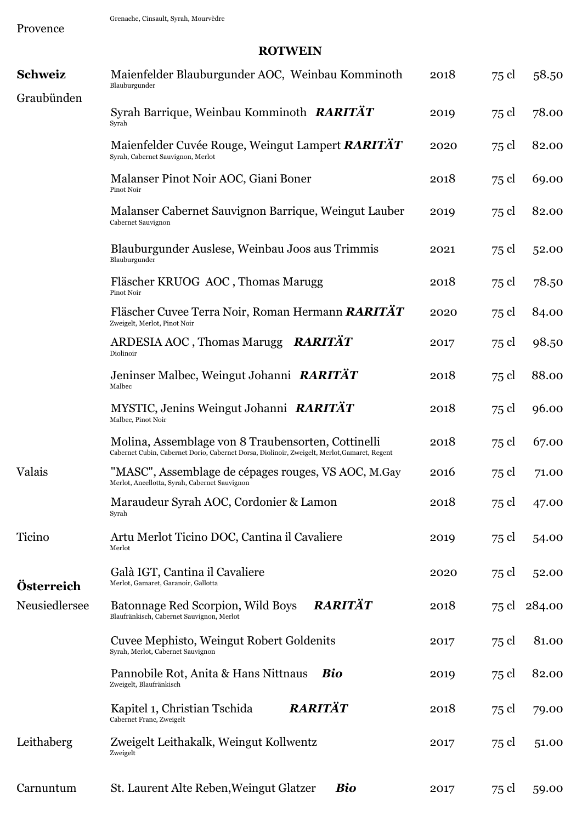Provence

## **ROTWEIN**

| <b>Schweiz</b> | Maienfelder Blauburgunder AOC, Weinbau Komminoth<br>Blauburgunder                                                                                  | 2018 | 75 cl | 58.50  |
|----------------|----------------------------------------------------------------------------------------------------------------------------------------------------|------|-------|--------|
| Graubünden     | Syrah Barrique, Weinbau Komminoth RARITÄT                                                                                                          | 2019 | 75 cl | 78.00  |
|                | Syrah                                                                                                                                              |      |       |        |
|                | Maienfelder Cuvée Rouge, Weingut Lampert RARITÄT<br>Syrah, Cabernet Sauvignon, Merlot                                                              | 2020 | 75 cl | 82.00  |
|                | Malanser Pinot Noir AOC, Giani Boner<br>Pinot Noir                                                                                                 | 2018 | 75 cl | 69.00  |
|                | Malanser Cabernet Sauvignon Barrique, Weingut Lauber<br>Cabernet Sauvignon                                                                         | 2019 | 75 cl | 82.00  |
|                | Blauburgunder Auslese, Weinbau Joos aus Trimmis<br>Blauburgunder                                                                                   | 2021 | 75 cl | 52.00  |
|                | Fläscher KRUOG AOC, Thomas Marugg<br>Pinot Noir                                                                                                    | 2018 | 75 cl | 78.50  |
|                | Fläscher Cuvee Terra Noir, Roman Hermann RARITÄT<br>Zweigelt, Merlot, Pinot Noir                                                                   | 2020 | 75 cl | 84.00  |
|                | ARDESIA AOC, Thomas Marugg RARITAT<br>Diolinoir                                                                                                    | 2017 | 75 cl | 98.50  |
|                | Jeninser Malbec, Weingut Johanni RARITÄT<br>Malbec                                                                                                 | 2018 | 75 cl | 88.00  |
|                | MYSTIC, Jenins Weingut Johanni RARITÄT<br>Malbec, Pinot Noir                                                                                       | 2018 | 75 cl | 96.00  |
|                | Molina, Assemblage von 8 Traubensorten, Cottinelli<br>Cabernet Cubin, Cabernet Dorio, Cabernet Dorsa, Diolinoir, Zweigelt, Merlot, Gamaret, Regent | 2018 | 75 cl | 67.00  |
| Valais         | "MASC", Assemblage de cépages rouges, VS AOC, M.Gay<br>Merlot, Ancellotta, Syrah, Cabernet Sauvignon                                               | 2016 | 75 cl | 71.00  |
|                | Maraudeur Syrah AOC, Cordonier & Lamon<br>Syrah                                                                                                    | 2018 | 75 cl | 47.00  |
| Ticino         | Artu Merlot Ticino DOC, Cantina il Cavaliere<br>Merlot                                                                                             | 2019 | 75 cl | 54.00  |
| Österreich     | Galà IGT, Cantina il Cavaliere<br>Merlot, Gamaret, Garanoir, Gallotta                                                                              | 2020 | 75 cl | 52.00  |
| Neusiedlersee  | RARITÄT<br>Batonnage Red Scorpion, Wild Boys<br>Blaufränkisch, Cabernet Sauvignon, Merlot                                                          | 2018 | 75 cl | 284.00 |
|                | Cuvee Mephisto, Weingut Robert Goldenits<br>Syrah, Merlot, Cabernet Sauvignon                                                                      | 2017 | 75 cl | 81.00  |
|                | Pannobile Rot, Anita & Hans Nittnaus<br>Bio<br>Zweigelt, Blaufränkisch                                                                             | 2019 | 75 cl | 82.00  |
|                | RARITÄT<br>Kapitel 1, Christian Tschida<br>Cabernet Franc, Zweigelt                                                                                | 2018 | 75 cl | 79.00  |
| Leithaberg     | Zweigelt Leithakalk, Weingut Kollwentz<br>Zweigelt                                                                                                 | 2017 | 75 cl | 51.00  |
| Carnuntum      | <b>Bio</b><br>St. Laurent Alte Reben, Weingut Glatzer                                                                                              | 2017 | 75 cl | 59.00  |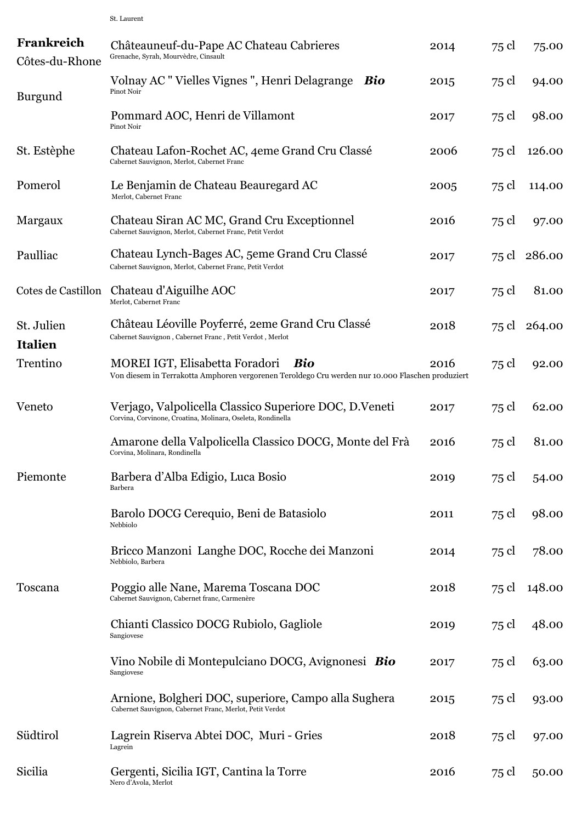| Frankreich<br>Côtes-du-Rhone | Châteauneuf-du-Pape AC Chateau Cabrieres<br>Grenache, Syrah, Mourvèdre, Cinsault                                                          | 2014 | 75 cl | 75.00        |
|------------------------------|-------------------------------------------------------------------------------------------------------------------------------------------|------|-------|--------------|
| <b>Burgund</b>               | Volnay AC "Vielles Vignes", Henri Delagrange<br>Bio<br>Pinot Noir                                                                         | 2015 | 75 cl | 94.00        |
|                              | Pommard AOC, Henri de Villamont<br>Pinot Noir                                                                                             | 2017 | 75 cl | 98.00        |
| St. Estèphe                  | Chateau Lafon-Rochet AC, 4eme Grand Cru Classé<br>Cabernet Sauvignon, Merlot, Cabernet Franc                                              | 2006 | 75 cl | 126.00       |
| Pomerol                      | Le Benjamin de Chateau Beauregard AC<br>Merlot, Cabernet Franc                                                                            | 2005 | 75 cl | 114.00       |
| Margaux                      | Chateau Siran AC MC, Grand Cru Exceptionnel<br>Cabernet Sauvignon, Merlot, Cabernet Franc, Petit Verdot                                   | 2016 | 75 cl | 97.00        |
| Paulliac                     | Chateau Lynch-Bages AC, 5eme Grand Cru Classé<br>Cabernet Sauvignon, Merlot, Cabernet Franc, Petit Verdot                                 | 2017 |       | 75 cl 286.00 |
| Cotes de Castillon           | Chateau d'Aiguilhe AOC<br>Merlot, Cabernet Franc                                                                                          | 2017 | 75 cl | 81.00        |
| St. Julien<br><b>Italien</b> | Château Léoville Poyferré, 2eme Grand Cru Classé<br>Cabernet Sauvignon, Cabernet Franc, Petit Verdot, Merlot                              | 2018 | 75 cl | 264.00       |
| Trentino                     | MOREI IGT, Elisabetta Foradori<br>Bio<br>Von diesem in Terrakotta Amphoren vergorenen Teroldego Cru werden nur 10.000 Flaschen produziert | 2016 | 75 cl | 92.00        |
| Veneto                       | Verjago, Valpolicella Classico Superiore DOC, D.Veneti<br>Corvina, Corvinone, Croatina, Molinara, Oseleta, Rondinella                     | 2017 | 75 cl | 62.00        |
|                              | Amarone della Valpolicella Classico DOCG, Monte del Frà<br>Corvina, Molinara, Rondinella                                                  | 2016 | 75 cl | 81.00        |
| Piemonte                     | Barbera d'Alba Edigio, Luca Bosio<br>Barbera                                                                                              | 2019 | 75 cl | 54.00        |
|                              | Barolo DOCG Cerequio, Beni de Batasiolo<br>Nebbiolo                                                                                       | 2011 | 75 cl | 98.00        |
|                              | Bricco Manzoni Langhe DOC, Rocche dei Manzoni<br>Nebbiolo, Barbera                                                                        | 2014 | 75 cl | 78.00        |
| Toscana                      | Poggio alle Nane, Marema Toscana DOC<br>Cabernet Sauvignon, Cabernet franc, Carmenère                                                     | 2018 | 75 cl | 148.00       |
|                              | Chianti Classico DOCG Rubiolo, Gagliole<br>Sangiovese                                                                                     | 2019 | 75 cl | 48.00        |
|                              | Vino Nobile di Montepulciano DOCG, Avignonesi Bio<br>Sangiovese                                                                           | 2017 | 75 cl | 63.00        |
|                              | Arnione, Bolgheri DOC, superiore, Campo alla Sughera<br>Cabernet Sauvignon, Cabernet Franc, Merlot, Petit Verdot                          | 2015 | 75 cl | 93.00        |
| Südtirol                     | Lagrein Riserva Abtei DOC, Muri - Gries<br>Lagrein                                                                                        | 2018 | 75 cl | 97.00        |
| Sicilia                      | Gergenti, Sicilia IGT, Cantina la Torre<br>Nero d'Avola, Merlot                                                                           | 2016 | 75 cl | 50.00        |